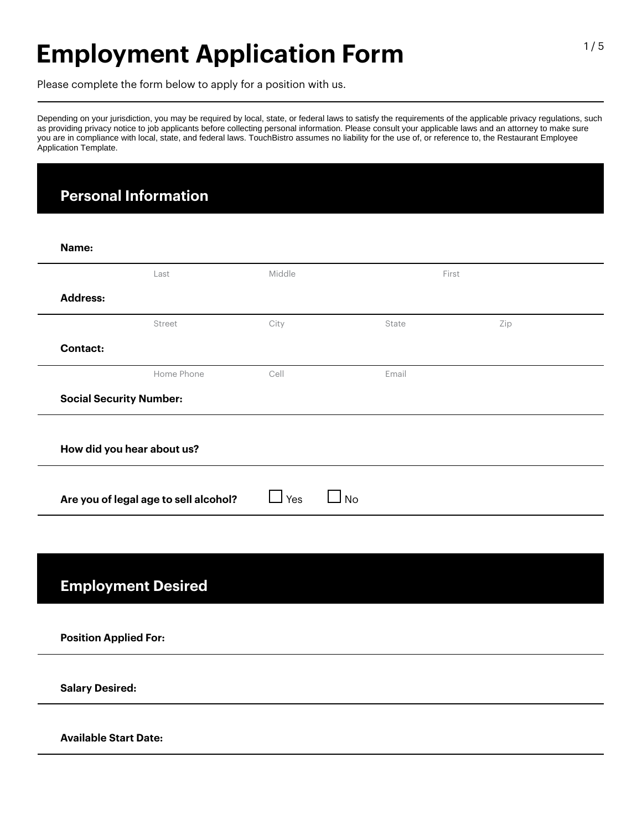# **Employment Application Form**

Please complete the form below to apply for a position with us.

Depending on your jurisdiction, you may be required by local, state, or federal laws to satisfy the requirements of the applicable privacy regulations, such as providing privacy notice to job applicants before collecting personal information. Please consult your applicable laws and an attorney to make sure you are in compliance with local, state, and federal laws. TouchBistro assumes no liability for the use of, or reference to, the Restaurant Employee Application Template.

### **Personal Information**

| Name:                          |                                       |                                |       |     |  |
|--------------------------------|---------------------------------------|--------------------------------|-------|-----|--|
|                                | Last                                  | Middle                         | First |     |  |
| <b>Address:</b>                |                                       |                                |       |     |  |
|                                | Street                                | City                           | State | Zip |  |
|                                |                                       |                                |       |     |  |
| <b>Contact:</b>                |                                       |                                |       |     |  |
|                                | Home Phone                            | Cell                           | Email |     |  |
| <b>Social Security Number:</b> |                                       |                                |       |     |  |
|                                |                                       |                                |       |     |  |
|                                | How did you hear about us?            |                                |       |     |  |
|                                |                                       |                                |       |     |  |
|                                |                                       |                                |       |     |  |
|                                | Are you of legal age to sell alcohol? | $\Box$ Yes<br><b>No</b><br>- 1 |       |     |  |
|                                |                                       |                                |       |     |  |
|                                |                                       |                                |       |     |  |
|                                |                                       |                                |       |     |  |
|                                | <b>Employment Desired</b>             |                                |       |     |  |
|                                |                                       |                                |       |     |  |
|                                |                                       |                                |       |     |  |
| <b>Position Applied For:</b>   |                                       |                                |       |     |  |
|                                |                                       |                                |       |     |  |
|                                |                                       |                                |       |     |  |
| <b>Salary Desired:</b>         |                                       |                                |       |     |  |
|                                |                                       |                                |       |     |  |
| <b>Available Start Date:</b>   |                                       |                                |       |     |  |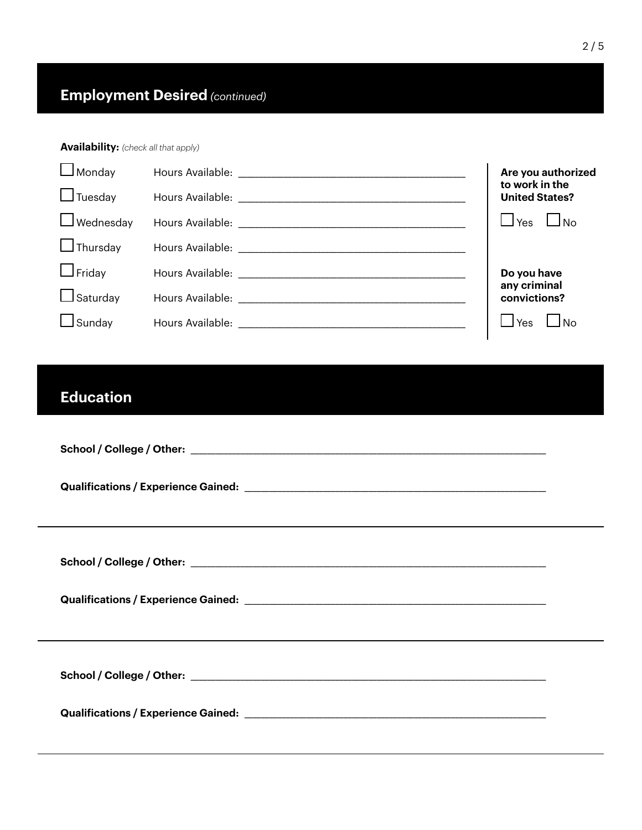### **Availability:** *(check all that apply)*

| $\Box$ Monday<br>$\Box$ Tuesday | Are you authorized<br>to work in the<br><b>United States?</b> |
|---------------------------------|---------------------------------------------------------------|
| $\Box$ Wednesday                | $\Box$ No<br>$\Box$ Yes                                       |
| $\Box$ Thursday                 |                                                               |
| $\Box$ Friday                   | Do you have<br>any criminal                                   |
| $\Box$ Saturday                 | convictions?                                                  |
| $\Box$ Sunday                   | No<br>$\Box$ Yes                                              |

## **Education**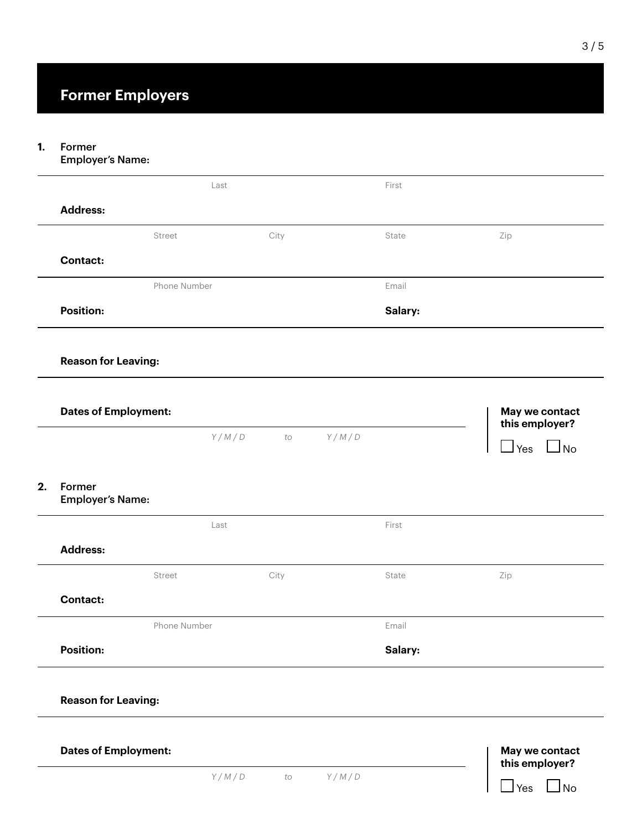#### Former **1.**

Employer's Name:

|                                   | Last         |               | First   |                                  |
|-----------------------------------|--------------|---------------|---------|----------------------------------|
| <b>Address:</b>                   |              |               |         |                                  |
|                                   | Street       | City          | State   | Zip                              |
| <b>Contact:</b>                   |              |               |         |                                  |
|                                   |              |               |         |                                  |
|                                   | Phone Number |               | Email   |                                  |
| <b>Position:</b>                  |              |               | Salary: |                                  |
| <b>Reason for Leaving:</b>        |              |               |         |                                  |
| <b>Dates of Employment:</b>       |              |               |         | May we contact<br>this employer? |
|                                   |              | Y/M/D<br>$to$ | Y/M/D   |                                  |
|                                   |              |               |         | $\mathbf{\perp}$ Yes             |
| Former<br><b>Employer's Name:</b> |              |               |         |                                  |
|                                   | Last         |               | First   | $\Box_{\text{No}}$               |
| <b>Address:</b>                   |              |               |         |                                  |
|                                   | Street       | City          | State   | Zip                              |
| <b>Contact:</b>                   |              |               |         |                                  |
|                                   | Phone Number |               | Email   |                                  |
| <b>Position:</b>                  |              |               | Salary: |                                  |
|                                   |              |               |         |                                  |
| <b>Reason for Leaving:</b>        |              |               |         |                                  |
| <b>Dates of Employment:</b>       |              |               |         | May we contact<br>this employer? |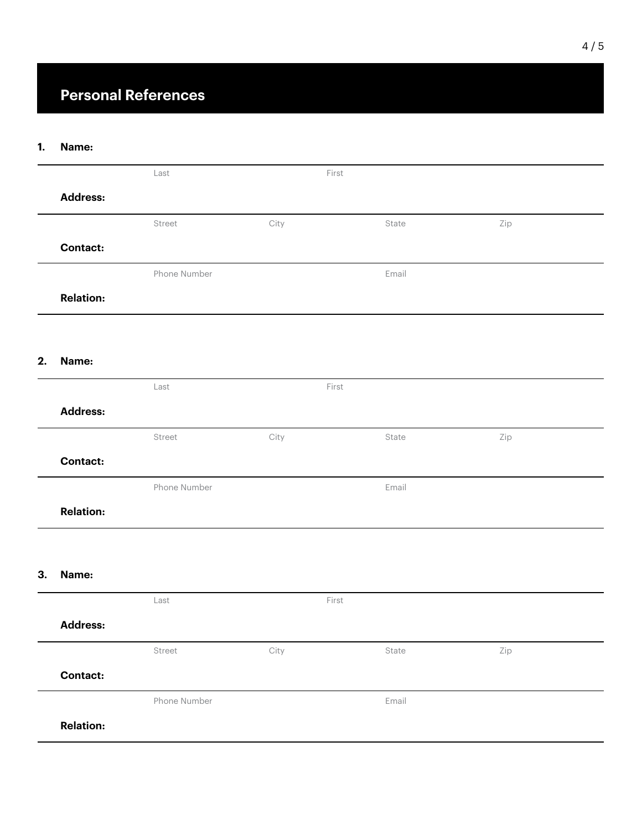### **Personal References**

#### **Name: 1.**

|    |                  | ${\sf Last}$ |      | First |       |     |  |
|----|------------------|--------------|------|-------|-------|-----|--|
|    | <b>Address:</b>  |              |      |       |       |     |  |
|    |                  | Street       | City |       | State | Zip |  |
|    | <b>Contact:</b>  |              |      |       |       |     |  |
|    |                  | Phone Number |      |       | Email |     |  |
|    | <b>Relation:</b> |              |      |       |       |     |  |
|    |                  |              |      |       |       |     |  |
| 2. | Name:            |              |      |       |       |     |  |
|    |                  | $\sf Last$   |      | First |       |     |  |
|    | <b>Address:</b>  |              |      |       |       |     |  |
|    |                  | Street       | City |       | State | Zip |  |
|    | <b>Contact:</b>  |              |      |       |       |     |  |
|    |                  | Phone Number |      |       | Email |     |  |
|    | <b>Relation:</b> |              |      |       |       |     |  |
|    |                  |              |      |       |       |     |  |
| 3. | Name:            |              |      |       |       |     |  |
|    |                  | $\sf Last$   |      | First |       |     |  |
|    | <b>Address:</b>  |              |      |       |       |     |  |
|    |                  | Street       | City |       | State | Zip |  |
|    | <b>Contact:</b>  |              |      |       |       |     |  |
|    |                  | Phone Number |      |       | Email |     |  |
|    | <b>Relation:</b> |              |      |       |       |     |  |
|    |                  |              |      |       |       |     |  |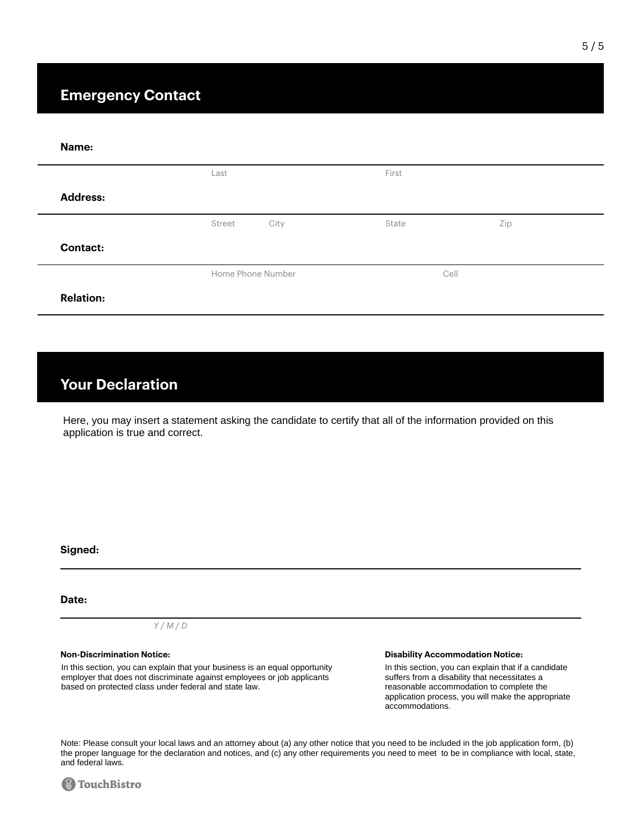| Name:            |                   |       |      |  |
|------------------|-------------------|-------|------|--|
|                  | Last              | First |      |  |
| <b>Address:</b>  |                   |       |      |  |
|                  | City<br>Street    | State | Zip  |  |
| <b>Contact:</b>  |                   |       |      |  |
|                  | Home Phone Number |       | Cell |  |
| <b>Relation:</b> |                   |       |      |  |

### **Your Declaration**

Here, you may insert a statement asking the candidate to certify that all of the information provided on this application is true and correct.

**Signed:**

#### **Date:**

### *Y / M / D*

In this section, you can explain that your business is an equal opportunity employer that does not discriminate against employees or job applicants based on protected class under federal and state law.

### **Non-Discrimination Notice: Disability Accommodation Notice:**

In this section, you can explain that if a candidate suffers from a disability that necessitates a reasonable accommodation to complete the application process, you will make the appropriate accommodations.

Note: Please consult your local laws and an attorney about (a) any other notice that you need to be included in the job application form, (b) the proper language for the declaration and notices, and (c) any other requirements you need to meet to be in compliance with local, state, and federal laws.

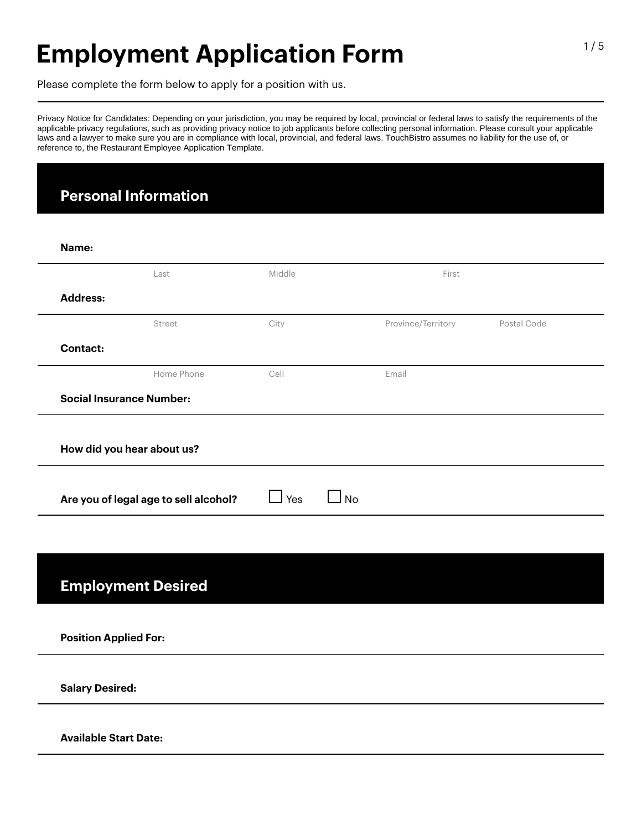# **Employment Application Form**

Please complete the form below to apply for a position with us.

Privacy Notice for Candidates: Depending on your jurisdiction, you may be required by local, provincial or federal laws to satisfy the requirements of the applicable privacy regulations, such as providing privacy notice to job applicants before collecting personal information. Please consult your applicable laws and a lawyer to make sure you are in compliance with local, provincial, and federal laws. TouchBistro assumes no liability for the use of, or reference to, the Restaurant Employee Application Template.

### **Personal Information**

| Name:                        |                                       |                              |                    |             |
|------------------------------|---------------------------------------|------------------------------|--------------------|-------------|
|                              | Last                                  | Middle                       | First              |             |
| <b>Address:</b>              |                                       |                              |                    |             |
|                              | Street                                | City                         | Province/Territory | Postal Code |
| <b>Contact:</b>              |                                       |                              |                    |             |
|                              | Home Phone                            | Cell                         | Email              |             |
|                              | <b>Social Insurance Number:</b>       |                              |                    |             |
|                              |                                       |                              |                    |             |
|                              | How did you hear about us?            |                              |                    |             |
|                              |                                       |                              |                    |             |
|                              |                                       |                              |                    |             |
|                              | Are you of legal age to sell alcohol? | $\Box$ Yes<br>$\blacksquare$ | No                 |             |
|                              |                                       |                              |                    |             |
|                              |                                       |                              |                    |             |
|                              |                                       |                              |                    |             |
|                              | <b>Employment Desired</b>             |                              |                    |             |
|                              |                                       |                              |                    |             |
| <b>Position Applied For:</b> |                                       |                              |                    |             |
| <b>Salary Desired:</b>       |                                       |                              |                    |             |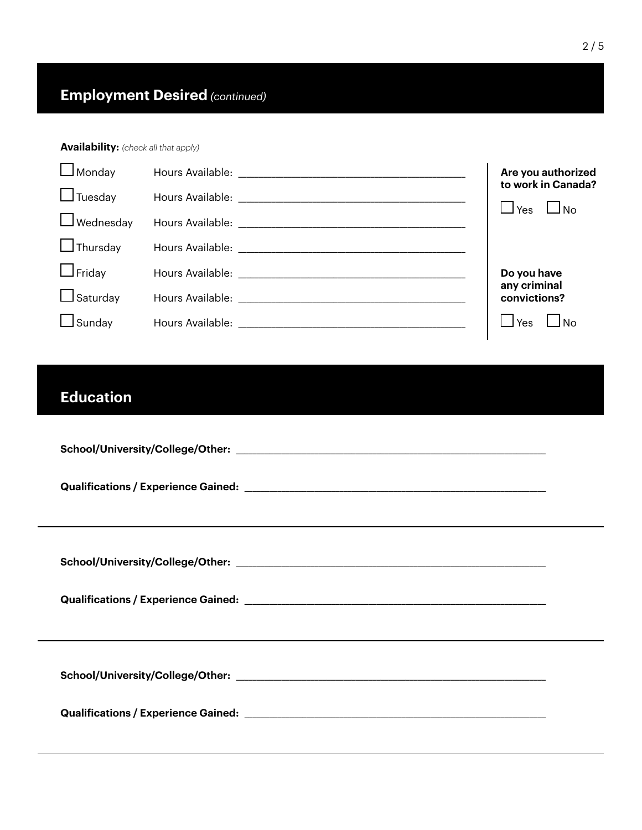### **Availability:** *(check all that apply)*

| $\Box$ Monday                                     |                                                                                                                | Are you authorized                                                |
|---------------------------------------------------|----------------------------------------------------------------------------------------------------------------|-------------------------------------------------------------------|
| $\Box$ Tuesday                                    |                                                                                                                | to work in Canada?                                                |
| $\Box$ Wednesday                                  |                                                                                                                | $\Box$ No                                                         |
| $\Box$ Thursday                                   | Hours Available: Nour American Available: Nour American Available:                                             | ⊢ ⊥ <sup></sup> Yes                                               |
| $\Box$ Friday<br>$\Box$ Saturday<br>$\Box$ Sunday | Hours Available: Nour American Available and Available and Available and Available and Available and Available | Do you have<br>any criminal<br>convictions?<br>l No<br>$\Box$ Yes |

## **Education**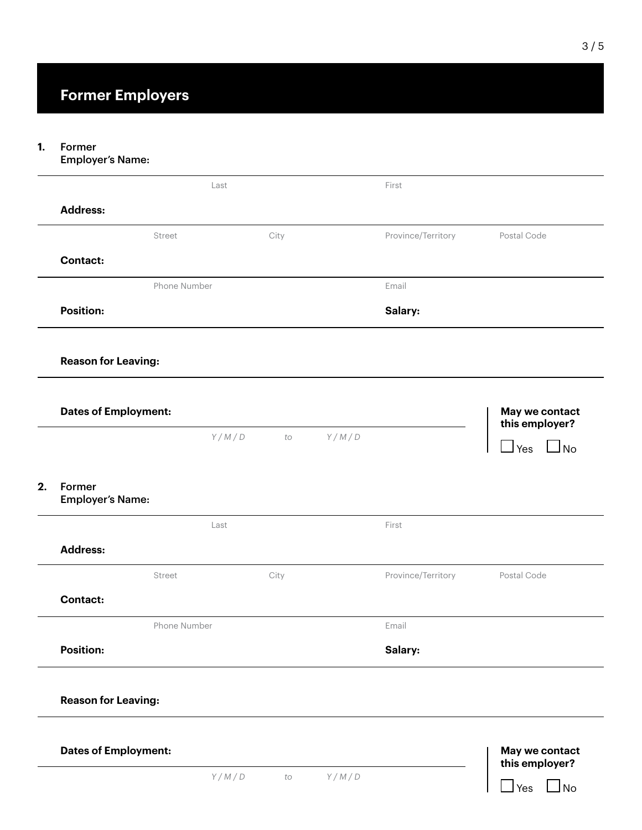#### Former **1.**

Employer's Name:

| Last<br>Street<br>Phone Number | City |       | First<br>Province/Territory | Postal Code                      |
|--------------------------------|------|-------|-----------------------------|----------------------------------|
|                                |      |       |                             |                                  |
|                                |      |       |                             |                                  |
|                                |      |       |                             |                                  |
|                                |      |       |                             |                                  |
|                                |      |       | Email                       |                                  |
|                                |      |       | Salary:                     |                                  |
| <b>Reason for Leaving:</b>     |      |       |                             |                                  |
| <b>Dates of Employment:</b>    |      |       |                             | May we contact<br>this employer? |
|                                | to   | Y/M/D |                             | $\Box$ Yes $\Box$ No             |
| <b>Employer's Name:</b>        |      |       |                             |                                  |
| Last                           |      |       | First                       |                                  |
|                                |      |       |                             |                                  |
| Street                         | City |       | Province/Territory          | Postal Code                      |
|                                |      |       |                             |                                  |
| Phone Number                   |      |       | Email                       |                                  |
|                                |      |       | Salary:                     |                                  |
|                                |      |       |                             |                                  |
| <b>Reason for Leaving:</b>     |      |       |                             |                                  |
|                                |      |       |                             |                                  |
| <b>Dates of Employment:</b>    |      |       |                             | May we contact<br>this employer? |
|                                |      | Y/M/D |                             |                                  |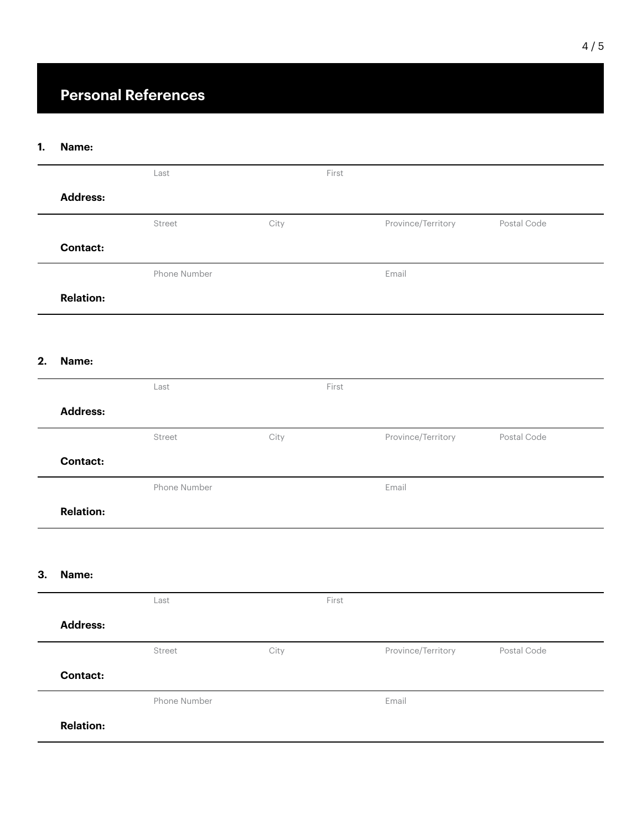### **Personal References**

#### **Name: 1.**

|    |                  | Last         |      | First |                    |             |  |
|----|------------------|--------------|------|-------|--------------------|-------------|--|
|    | <b>Address:</b>  |              |      |       |                    |             |  |
|    |                  | Street       | City |       | Province/Territory | Postal Code |  |
|    | <b>Contact:</b>  |              |      |       |                    |             |  |
|    |                  | Phone Number |      |       | Email              |             |  |
|    | <b>Relation:</b> |              |      |       |                    |             |  |
|    |                  |              |      |       |                    |             |  |
| 2. | Name:            |              |      |       |                    |             |  |
|    |                  | Last         |      | First |                    |             |  |
|    | <b>Address:</b>  |              |      |       |                    |             |  |
|    |                  | Street       | City |       | Province/Territory | Postal Code |  |
|    | <b>Contact:</b>  |              |      |       |                    |             |  |
|    |                  | Phone Number |      |       | Email              |             |  |
|    | <b>Relation:</b> |              |      |       |                    |             |  |
|    |                  |              |      |       |                    |             |  |
| 3. | Name:            |              |      |       |                    |             |  |
|    |                  | Last         |      | First |                    |             |  |
|    | <b>Address:</b>  |              |      |       |                    |             |  |
|    |                  | Street       | City |       | Province/Territory | Postal Code |  |
|    | <b>Contact:</b>  |              |      |       |                    |             |  |
|    |                  | Phone Number |      |       | Email              |             |  |
|    | <b>Relation:</b> |              |      |       |                    |             |  |
|    |                  |              |      |       |                    |             |  |